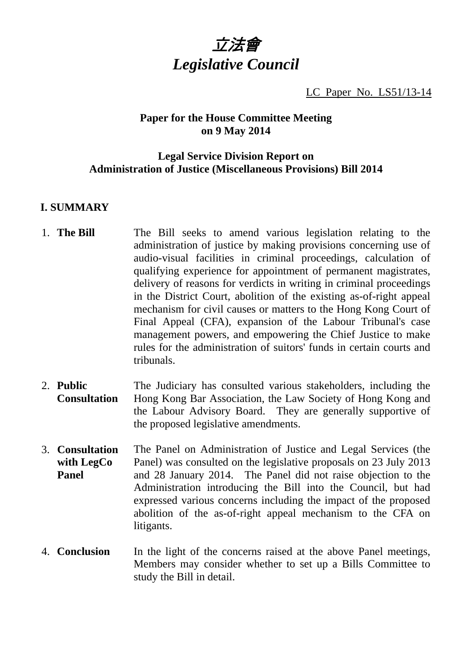

LC Paper No. LS51/13-14

## **Paper for the House Committee Meeting on 9 May 2014**

# **Legal Service Division Report on Administration of Justice (Miscellaneous Provisions) Bill 2014**

# **I. SUMMARY**

- 1. **The Bill** The Bill seeks to amend various legislation relating to the administration of justice by making provisions concerning use of audio-visual facilities in criminal proceedings, calculation of qualifying experience for appointment of permanent magistrates, delivery of reasons for verdicts in writing in criminal proceedings in the District Court, abolition of the existing as-of-right appeal mechanism for civil causes or matters to the Hong Kong Court of Final Appeal (CFA), expansion of the Labour Tribunal's case management powers, and empowering the Chief Justice to make rules for the administration of suitors' funds in certain courts and tribunals.
- 2. **Public Consultation**  The Judiciary has consulted various stakeholders, including the Hong Kong Bar Association, the Law Society of Hong Kong and the Labour Advisory Board. They are generally supportive of the proposed legislative amendments.
- 3. **Consultation with LegCo Panel**  The Panel on Administration of Justice and Legal Services (the Panel) was consulted on the legislative proposals on 23 July 2013 and 28 January 2014. The Panel did not raise objection to the Administration introducing the Bill into the Council, but had expressed various concerns including the impact of the proposed abolition of the as-of-right appeal mechanism to the CFA on litigants.
- 4. **Conclusion** In the light of the concerns raised at the above Panel meetings, Members may consider whether to set up a Bills Committee to study the Bill in detail.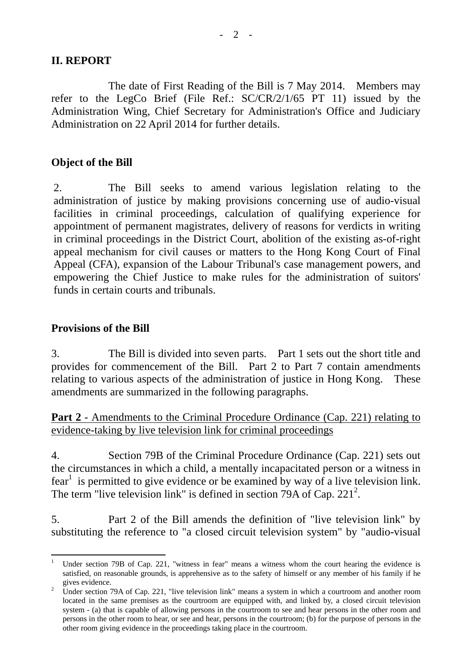#### **II. REPORT**

 The date of First Reading of the Bill is 7 May 2014. Members may refer to the LegCo Brief (File Ref.: SC/CR/2/1/65 PT 11) issued by the Administration Wing, Chief Secretary for Administration's Office and Judiciary Administration on 22 April 2014 for further details.

#### **Object of the Bill**

2. The Bill seeks to amend various legislation relating to the administration of justice by making provisions concerning use of audio-visual facilities in criminal proceedings, calculation of qualifying experience for appointment of permanent magistrates, delivery of reasons for verdicts in writing in criminal proceedings in the District Court, abolition of the existing as-of-right appeal mechanism for civil causes or matters to the Hong Kong Court of Final Appeal (CFA), expansion of the Labour Tribunal's case management powers, and empowering the Chief Justice to make rules for the administration of suitors' funds in certain courts and tribunals.

#### **Provisions of the Bill**

3. The Bill is divided into seven parts. Part 1 sets out the short title and provides for commencement of the Bill. Part 2 to Part 7 contain amendments relating to various aspects of the administration of justice in Hong Kong. These amendments are summarized in the following paragraphs.

**Part 2** - Amendments to the Criminal Procedure Ordinance (Cap. 221) relating to evidence-taking by live television link for criminal proceedings

4. Section 79B of the Criminal Procedure Ordinance (Cap. 221) sets out the circumstances in which a child, a mentally incapacitated person or a witness in fear<sup>1</sup> is permitted to give evidence or be examined by way of a live television link. The term "live television link" is defined in section 79A of Cap.  $221^2$ .

5. Part 2 of the Bill amends the definition of "live television link" by substituting the reference to "a closed circuit television system" by "audio-visual

<sup>1</sup> Under section 79B of Cap. 221, "witness in fear" means a witness whom the court hearing the evidence is satisfied, on reasonable grounds, is apprehensive as to the safety of himself or any member of his family if he gives evidence.

Under section 79A of Cap. 221, "live television link" means a system in which a courtroom and another room located in the same premises as the courtroom are equipped with, and linked by, a closed circuit television system - (a) that is capable of allowing persons in the courtroom to see and hear persons in the other room and persons in the other room to hear, or see and hear, persons in the courtroom; (b) for the purpose of persons in the other room giving evidence in the proceedings taking place in the courtroom.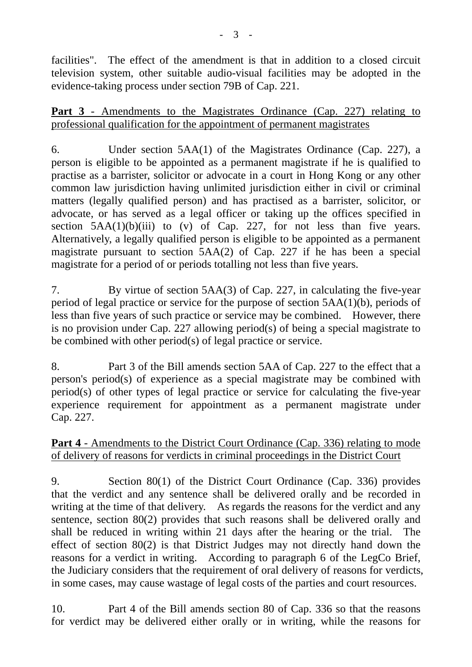facilities". The effect of the amendment is that in addition to a closed circuit television system, other suitable audio-visual facilities may be adopted in the evidence-taking process under section 79B of Cap. 221.

## **Part 3** - Amendments to the Magistrates Ordinance (Cap. 227) relating to professional qualification for the appointment of permanent magistrates

6. Under section 5AA(1) of the Magistrates Ordinance (Cap. 227), a person is eligible to be appointed as a permanent magistrate if he is qualified to practise as a barrister, solicitor or advocate in a court in Hong Kong or any other common law jurisdiction having unlimited jurisdiction either in civil or criminal matters (legally qualified person) and has practised as a barrister, solicitor, or advocate, or has served as a legal officer or taking up the offices specified in section  $5AA(1)(b)(iii)$  to (v) of Cap. 227, for not less than five years. Alternatively, a legally qualified person is eligible to be appointed as a permanent magistrate pursuant to section 5AA(2) of Cap. 227 if he has been a special magistrate for a period of or periods totalling not less than five years.

7. By virtue of section 5AA(3) of Cap. 227, in calculating the five-year period of legal practice or service for the purpose of section 5AA(1)(b), periods of less than five years of such practice or service may be combined. However, there is no provision under Cap. 227 allowing period(s) of being a special magistrate to be combined with other period(s) of legal practice or service.

8. Part 3 of the Bill amends section 5AA of Cap. 227 to the effect that a person's period(s) of experience as a special magistrate may be combined with period(s) of other types of legal practice or service for calculating the five-year experience requirement for appointment as a permanent magistrate under Cap. 227.

# **Part 4** - Amendments to the District Court Ordinance (Cap. 336) relating to mode of delivery of reasons for verdicts in criminal proceedings in the District Court

9. Section 80(1) of the District Court Ordinance (Cap. 336) provides that the verdict and any sentence shall be delivered orally and be recorded in writing at the time of that delivery. As regards the reasons for the verdict and any sentence, section 80(2) provides that such reasons shall be delivered orally and shall be reduced in writing within 21 days after the hearing or the trial. The effect of section 80(2) is that District Judges may not directly hand down the reasons for a verdict in writing. According to paragraph 6 of the LegCo Brief, the Judiciary considers that the requirement of oral delivery of reasons for verdicts, in some cases, may cause wastage of legal costs of the parties and court resources.

10. Part 4 of the Bill amends section 80 of Cap. 336 so that the reasons for verdict may be delivered either orally or in writing, while the reasons for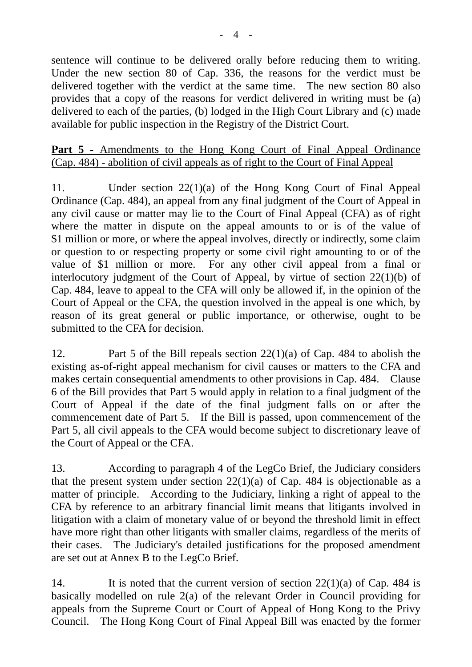sentence will continue to be delivered orally before reducing them to writing. Under the new section 80 of Cap. 336, the reasons for the verdict must be delivered together with the verdict at the same time. The new section 80 also provides that a copy of the reasons for verdict delivered in writing must be (a) delivered to each of the parties, (b) lodged in the High Court Library and (c) made available for public inspection in the Registry of the District Court.

# Part 5 - Amendments to the Hong Kong Court of Final Appeal Ordinance (Cap. 484) - abolition of civil appeals as of right to the Court of Final Appeal

11. Under section 22(1)(a) of the Hong Kong Court of Final Appeal Ordinance (Cap. 484), an appeal from any final judgment of the Court of Appeal in any civil cause or matter may lie to the Court of Final Appeal (CFA) as of right where the matter in dispute on the appeal amounts to or is of the value of \$1 million or more, or where the appeal involves, directly or indirectly, some claim or question to or respecting property or some civil right amounting to or of the value of \$1 million or more. For any other civil appeal from a final or interlocutory judgment of the Court of Appeal, by virtue of section 22(1)(b) of Cap. 484, leave to appeal to the CFA will only be allowed if, in the opinion of the Court of Appeal or the CFA, the question involved in the appeal is one which, by reason of its great general or public importance, or otherwise, ought to be submitted to the CFA for decision.

12. Part 5 of the Bill repeals section 22(1)(a) of Cap. 484 to abolish the existing as-of-right appeal mechanism for civil causes or matters to the CFA and makes certain consequential amendments to other provisions in Cap. 484. Clause 6 of the Bill provides that Part 5 would apply in relation to a final judgment of the Court of Appeal if the date of the final judgment falls on or after the commencement date of Part 5. If the Bill is passed, upon commencement of the Part 5, all civil appeals to the CFA would become subject to discretionary leave of the Court of Appeal or the CFA.

13. According to paragraph 4 of the LegCo Brief, the Judiciary considers that the present system under section  $22(1)(a)$  of Cap. 484 is objectionable as a matter of principle. According to the Judiciary, linking a right of appeal to the CFA by reference to an arbitrary financial limit means that litigants involved in litigation with a claim of monetary value of or beyond the threshold limit in effect have more right than other litigants with smaller claims, regardless of the merits of their cases. The Judiciary's detailed justifications for the proposed amendment are set out at Annex B to the LegCo Brief.

14. It is noted that the current version of section  $22(1)(a)$  of Cap. 484 is basically modelled on rule 2(a) of the relevant Order in Council providing for appeals from the Supreme Court or Court of Appeal of Hong Kong to the Privy Council. The Hong Kong Court of Final Appeal Bill was enacted by the former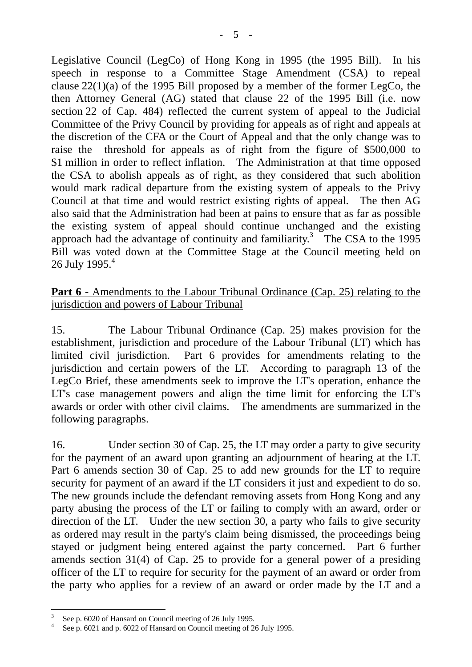Legislative Council (LegCo) of Hong Kong in 1995 (the 1995 Bill). In his speech in response to a Committee Stage Amendment (CSA) to repeal clause  $22(1)(a)$  of the 1995 Bill proposed by a member of the former LegCo, the then Attorney General (AG) stated that clause 22 of the 1995 Bill (i.e. now section 22 of Cap. 484) reflected the current system of appeal to the Judicial Committee of the Privy Council by providing for appeals as of right and appeals at the discretion of the CFA or the Court of Appeal and that the only change was to raise the threshold for appeals as of right from the figure of \$500,000 to \$1 million in order to reflect inflation. The Administration at that time opposed the CSA to abolish appeals as of right, as they considered that such abolition would mark radical departure from the existing system of appeals to the Privy Council at that time and would restrict existing rights of appeal. The then AG also said that the Administration had been at pains to ensure that as far as possible the existing system of appeal should continue unchanged and the existing approach had the advantage of continuity and familiarity.<sup>3</sup> The CSA to the 1995 Bill was voted down at the Committee Stage at the Council meeting held on 26 July 1995. $4$ 

# **Part 6** - Amendments to the Labour Tribunal Ordinance (Cap. 25) relating to the jurisdiction and powers of Labour Tribunal

15. The Labour Tribunal Ordinance (Cap. 25) makes provision for the establishment, jurisdiction and procedure of the Labour Tribunal (LT) which has limited civil jurisdiction. Part 6 provides for amendments relating to the jurisdiction and certain powers of the LT. According to paragraph 13 of the LegCo Brief, these amendments seek to improve the LT's operation, enhance the LT's case management powers and align the time limit for enforcing the LT's awards or order with other civil claims. The amendments are summarized in the following paragraphs.

16. Under section 30 of Cap. 25, the LT may order a party to give security for the payment of an award upon granting an adjournment of hearing at the LT. Part 6 amends section 30 of Cap. 25 to add new grounds for the LT to require security for payment of an award if the LT considers it just and expedient to do so. The new grounds include the defendant removing assets from Hong Kong and any party abusing the process of the LT or failing to comply with an award, order or direction of the LT. Under the new section 30, a party who fails to give security as ordered may result in the party's claim being dismissed, the proceedings being stayed or judgment being entered against the party concerned. Part 6 further amends section 31(4) of Cap. 25 to provide for a general power of a presiding officer of the LT to require for security for the payment of an award or order from the party who applies for a review of an award or order made by the LT and a

<sup>3</sup> See p. 6020 of Hansard on Council meeting of 26 July 1995.

<sup>4</sup> See p. 6021 and p. 6022 of Hansard on Council meeting of 26 July 1995.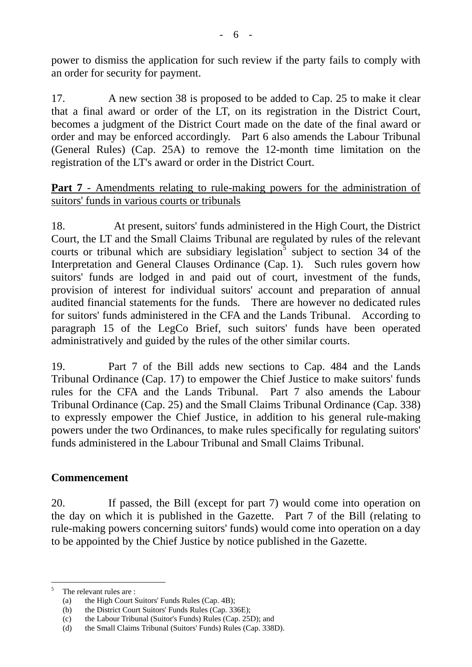power to dismiss the application for such review if the party fails to comply with an order for security for payment.

17. A new section 38 is proposed to be added to Cap. 25 to make it clear that a final award or order of the LT, on its registration in the District Court, becomes a judgment of the District Court made on the date of the final award or order and may be enforced accordingly. Part 6 also amends the Labour Tribunal (General Rules) (Cap. 25A) to remove the 12-month time limitation on the registration of the LT's award or order in the District Court.

# **Part 7** - Amendments relating to rule-making powers for the administration of suitors' funds in various courts or tribunals

18. At present, suitors' funds administered in the High Court, the District Court, the LT and the Small Claims Tribunal are regulated by rules of the relevant courts or tribunal which are subsidiary legislation<sup>3</sup> subject to section 34 of the Interpretation and General Clauses Ordinance (Cap. 1). Such rules govern how suitors' funds are lodged in and paid out of court, investment of the funds, provision of interest for individual suitors' account and preparation of annual audited financial statements for the funds. There are however no dedicated rules for suitors' funds administered in the CFA and the Lands Tribunal. According to paragraph 15 of the LegCo Brief, such suitors' funds have been operated administratively and guided by the rules of the other similar courts.

19. Part 7 of the Bill adds new sections to Cap. 484 and the Lands Tribunal Ordinance (Cap. 17) to empower the Chief Justice to make suitors' funds rules for the CFA and the Lands Tribunal. Part 7 also amends the Labour Tribunal Ordinance (Cap. 25) and the Small Claims Tribunal Ordinance (Cap. 338) to expressly empower the Chief Justice, in addition to his general rule-making powers under the two Ordinances, to make rules specifically for regulating suitors' funds administered in the Labour Tribunal and Small Claims Tribunal.

## **Commencement**

20. If passed, the Bill (except for part 7) would come into operation on the day on which it is published in the Gazette. Part 7 of the Bill (relating to rule-making powers concerning suitors' funds) would come into operation on a day to be appointed by the Chief Justice by notice published in the Gazette.

<sup>5</sup> The relevant rules are :

<sup>(</sup>a) the High Court Suitors' Funds Rules (Cap. 4B);

<sup>(</sup>b) the District Court Suitors' Funds Rules (Cap. 336E);

<sup>(</sup>c) the Labour Tribunal (Suitor's Funds) Rules (Cap. 25D); and

<sup>(</sup>d) the Small Claims Tribunal (Suitors' Funds) Rules (Cap. 338D).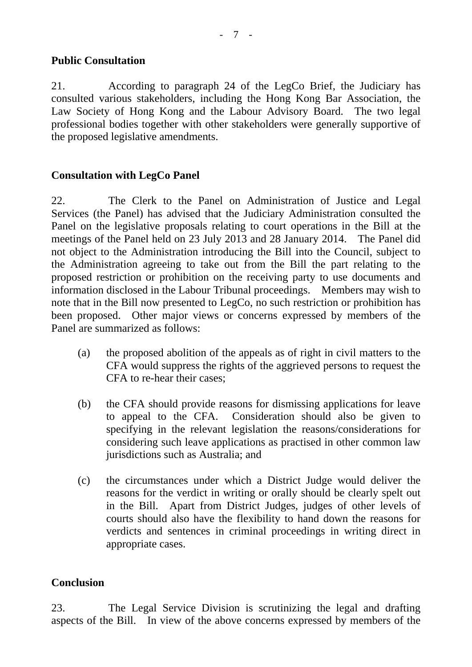## **Public Consultation**

21. According to paragraph 24 of the LegCo Brief, the Judiciary has consulted various stakeholders, including the Hong Kong Bar Association, the Law Society of Hong Kong and the Labour Advisory Board. The two legal professional bodies together with other stakeholders were generally supportive of the proposed legislative amendments.

#### **Consultation with LegCo Panel**

22. The Clerk to the Panel on Administration of Justice and Legal Services (the Panel) has advised that the Judiciary Administration consulted the Panel on the legislative proposals relating to court operations in the Bill at the meetings of the Panel held on 23 July 2013 and 28 January 2014. The Panel did not object to the Administration introducing the Bill into the Council, subject to the Administration agreeing to take out from the Bill the part relating to the proposed restriction or prohibition on the receiving party to use documents and information disclosed in the Labour Tribunal proceedings. Members may wish to note that in the Bill now presented to LegCo, no such restriction or prohibition has been proposed. Other major views or concerns expressed by members of the Panel are summarized as follows:

- (a) the proposed abolition of the appeals as of right in civil matters to the CFA would suppress the rights of the aggrieved persons to request the CFA to re-hear their cases;
- (b) the CFA should provide reasons for dismissing applications for leave to appeal to the CFA. Consideration should also be given to specifying in the relevant legislation the reasons/considerations for considering such leave applications as practised in other common law jurisdictions such as Australia; and
- (c) the circumstances under which a District Judge would deliver the reasons for the verdict in writing or orally should be clearly spelt out in the Bill. Apart from District Judges, judges of other levels of courts should also have the flexibility to hand down the reasons for verdicts and sentences in criminal proceedings in writing direct in appropriate cases.

## **Conclusion**

23. The Legal Service Division is scrutinizing the legal and drafting aspects of the Bill. In view of the above concerns expressed by members of the